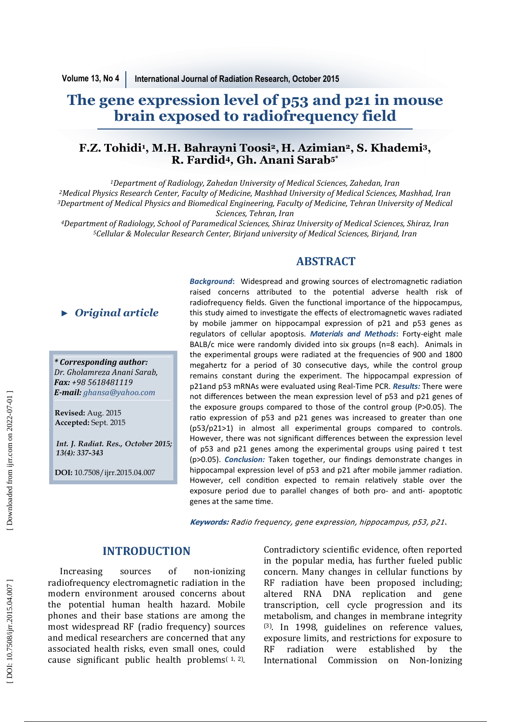# **The gene expression level of p53 and p21 in mouse brain exposed to radiofrequency field**

## **F.Z. Tohidi 1 , M.H. Bahrayni Toosi 2 , H. Azimian <sup>2</sup>, S. Khademi 3, R. Fardid <sup>4</sup>***,* **Gh. Anani Sarab5\***

<sup>1</sup>Department of Radiology, Zahedan University of Medical Sciences, Zahedan, Iran <sup>2</sup>*Medical Physics Research Center, Faculty of Medicine, Mashhad University of Medical Sciences, Mashhad, Iran 3*Department of Medical Physics and Biomedical Engineering, Faculty of Medicine, Tehran University of Medical *Sciences, Tehran, Iran* 

*<sup>4</sup>Department of Radiology, School of Paramedical Sciences, Shiraz University of Medical Sciences, Shiraz, Iran <sup>5</sup>Cellular & Molecular Research Center, Birjand university of Medical Sciences, Birjand, Iran* 

*\* Corresponding author: Dr. Gholamreza Anani Sarab, Fax: +98 5618481119 E-mail: ghansa@yahoo.com ► Original article*<br> *† Corresponding author:*<br> *Dr. Gholamreza Anani Sarab,*<br> *Fax: +98 5618481119*<br> *E-mail: ghansa@yahoo.com*<br>
Revised: Aug. 2015<br>
Accepted: Sept. 2015<br>
Int. J. Radiat. Res., October 20<br>
13(4): 337-343

**Revised:** Aug. 2015 **Accepted:** Sept. 2015

*Int. J. Radiat. Res., October 2015;* 

**DOI:** 10.7508/ijrr.2015.04.007

Background: Widespread and growing sources of electromagnetic radiation raised concerns attributed to the potential adverse health risk of radiofrequency fields. Given the functional importance of the hippocampus, this study aimed to investigate the effects of electromagnetic waves radiated by mobile jammer on hippocampal expression of p21 and p53 genes as regulators of cellular apoptosis. *Materials and Methods* **:** Forty-eight male BALB/c mice were randomly divided into six groups (n=8 each). Animals in the experimental groups were radiated at the frequencies of 900 and 1800 megahertz for a period of 30 consecutive days, while the control group remains constant during the experiment. The hippocampal expression of p21and p53 mRNAs were evaluated using Real-Time PCR. *Results:* There were not differences between the mean expression level of p53 and p21 genes of the exposure groups compared to those of the control group (P>0.05). The ratio expression of p53 and p21 genes was increased to greater than one (p53/p21>1) in almost all experimental groups compared to controls. However, there was not significant differences between the expression level of p53 and p21 genes among the experimental groups using paired t test (p>0.05). *Conclusion:* Taken together, our findings demonstrate changes in hippocampal expression level of p53 and p21 after mobile jammer radiation. However, cell condition expected to remain relatively stable over the exposure period due to parallel changes of both pro- and anti- apoptotic genes at the same time.

**ABSTRACT** 

**Keywords:** Radio frequency, gene expression, hippocampus, p53, p21 .

### **INTRODUCTION**

Increasing sources of non-ionizing radiofrequency electromagnetic radiation in the modern environment aroused concerns about the potential human health hazard. Mobile phones and their base stations are among the most widespread RF (radio frequency) sources and medical researchers are concerned that any associated health risks, even small ones, could cause significant public health problems $(1, 2)$ . Contradictory scientific evidence, often reported in the popular media, has further fueled public concern. Many changes in cellular functions by RF radiation have been proposed including; altered RNA DNA replication and gene transcription, cell cycle progression and its metabolism, and changes in membrane integrity (3). In 1998, guidelines on reference values, exposure limits, and restrictions for exposure to RF radiation were established by the International Commission on Non-Ionizing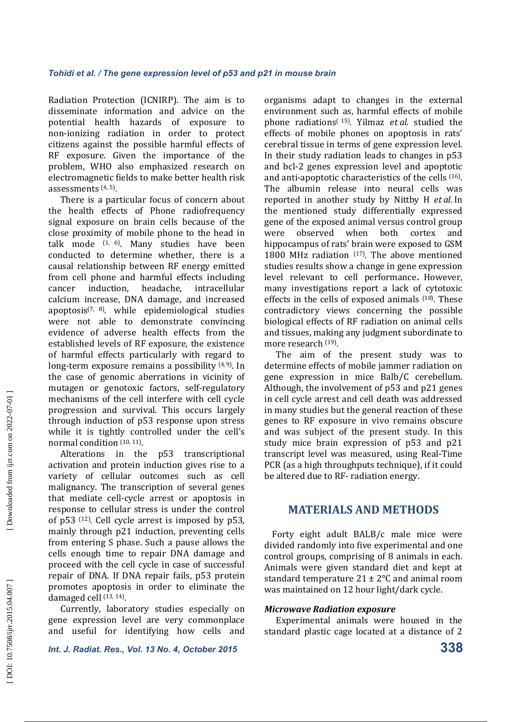Radiation Protection (ICNIRP). The aim is to disseminate information and advice on the potential health hazards of exposure non-ionizing radiation in order to protect citizens against the possible harmful effects of RF exposure. Given the importance of the problem, WHO also emphasized research on electromagnetic fields to make better health risk assessments (4, 5).

There is a particular focus of concern about the health effects of Phone radiofrequency signal exposure on brain cells because of the close proximity of mobile phone to the head in talk mode  $(1, 6)$ . Many studies have been conducted to determine whether, there is a causal relationship between RF energy emitted from cell phone and harmful effects including cancer induction, headache, intracellular calcium increase, DNA damage, and increased apoptosis<sup> $(7, 8)$ </sup>. while epidemiological studies were not able to demonstrate convincing evidence of adverse health effects from the established levels of RF exposure, the existence of harmful effects particularly with regard to long-term exposure remains a possibility  $(4, 9)$ . In the case of genomic aberrations in vicinity of mutagen or genotoxic factors, self-regulatory mechanisms of the cell interfere with cell cycle progression and survival. This occurs largely through induction of p53 response upon stress while it is tightly controlled under the cell's normal condition (10, 11).

Alterations in the p53 transcriptional activation and protein induction gives rise to a variety of cellular outcomes such as cell malignancy. The transcription of several genes that mediate cell-cycle arrest or apoptosis in response to cellular stress is under the control of  $p53$  <sup>(12)</sup>. Cell cycle arrest is imposed by  $p53$ , mainly through p21 induction, preventing cells from entering S phase. Such a pause allows the cells enough time to repair DNA damage and proceed with the cell cycle in case of successful repair of DNA. If DNA repair fails, p53 protein promotes apoptosis in order to eliminate the damaged cell  $(13, 14)$ .

Currently, laboratory studies especially on gene expression level are very commonplace and useful for identifying how cells and

*Int. J. Radiat. Res., Vol. 13 No. 4, October 2015* **338**

organisms adapt to changes in the external environment such as, harmful effects of mobile phone radiations<sup>(15)</sup>. Yilmaz *et al*. studied the effects of mobile phones on apoptosis in rats' cerebral tissue in terms of gene expression level. In their study radiation leads to changes in p53 and bcl-2 genes expression level and apoptotic and anti-apoptotic characteristics of the cells <sup>(16)</sup>. The albumin release into neural cells was reported in another study by Nittby H et al. In the mentioned study differentially expressed gene of the exposed animal versus control group were observed when both cortex and hippocampus of rats' brain were exposed to GSM 1800 MHz radiation  $(17)$ . The above mentioned studies results show a change in gene expression level relevant to cell performance. However, many investigations report a lack of cytotoxic effects in the cells of exposed animals  $(18)$ . These contradictory views concerning the possible biological effects of RF radiation on animal cells and tissues, making any judgment subordinate to more research <sup>(19)</sup>.

The aim of the present study was to determine effects of mobile jammer radiation on gene expression in mice Balb/C cerebellum. Although, the involvement of p53 and p21 genes in cell cycle arrest and cell death was addressed in many studies but the general reaction of these genes to RF exposure in vivo remains obscure and was subject of the present study. In this study mice brain expression of p53 and p21 transcript level was measured, using Real-Time PCR (as a high throughputs technique), if it could be altered due to RF- radiation energy.

## **MATERIALS AND METHODS**

Forty eight adult  $BALB/c$  male mice were divided randomly into five experimental and one control groups, comprising of 8 animals in each. Animals were given standard diet and kept at standard temperature  $21 \pm 2$ °C and animal room was maintained on 12 hour light/dark cycle.

#### *Microwave Radiation exposure*

Experimental animals were housed in the standard plastic cage located at a distance of 2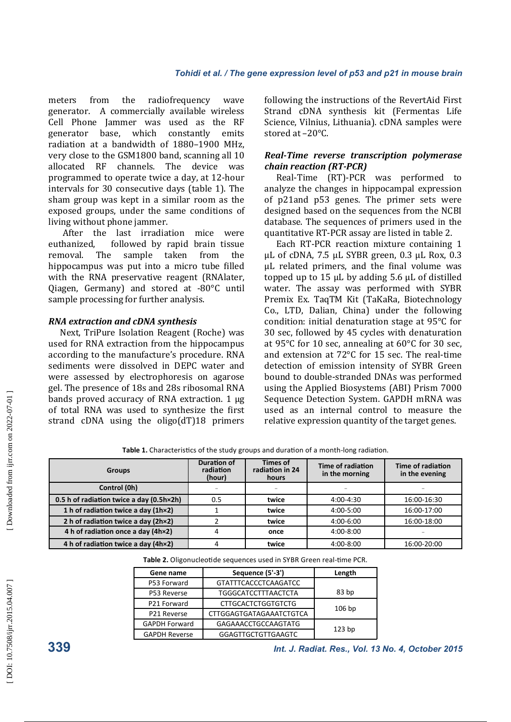meters from the radiofrequency wave generator. A commercially available wireless Cell Phone Jammer was used as the RF generator base, which constantly emits radiation at a bandwidth of 1880-1900 MHz. very close to the GSM1800 band, scanning all 10 allocated RF channels. The device was programmed to operate twice a day, at 12-hour intervals for 30 consecutive days (table 1). The sham group was kept in a similar room as the exposed groups, under the same conditions of living without phone jammer.

After the last irradiation mice were euthanized, followed by rapid brain tissue removal. The sample taken from the hippocampus was put into a micro tube filled with the RNA preservative reagent (RNAlater, Oiagen, Germany) and stored at  $-80^{\circ}$ C until sample processing for further analysis.

## *RNA extraction and cDNA synthesis*

Next, TriPure Isolation Reagent (Roche) was used for RNA extraction from the hippocampus according to the manufacture's procedure. RNA sediments were dissolved in DEPC water and were assessed by electrophoresis on agarose gel. The presence of 18s and 28s ribosomal RNA bands proved accuracy of RNA extraction.  $1 \mu$ g of total RNA was used to synthesize the first strand  $cDNA$  using the  $oligo(dT)18$  primers following the instructions of the RevertAid First Strand cDNA synthesis kit (Fermentas Life Science, Vilnius, Lithuania). cDNA samples were stored at -20°C.

#### *Real-Time reverse transcription polymerase chain reaction (RT-PCR)*

Real-Time (RT)-PCR was performed to analyze the changes in hippocampal expression of p21and p53 genes. The primer sets were designed based on the sequences from the NCBI database. The sequences of primers used in the quantitative RT-PCR assay are listed in table 2.

Each RT-PCR reaction mixture containing 1  $\mu$ L of cDNA, 7.5  $\mu$ L SYBR green, 0.3  $\mu$ L Rox, 0.3 µL related primers, and the final volume was topped up to 15  $\mu$ L by adding 5.6  $\mu$ L of distilled water. The assay was performed with SYBR Premix Ex. TaqTM Kit (TaKaRa, Biotechnology Co., LTD, Dalian, China) under the following condition: initial denaturation stage at  $95^{\circ}$ C for 30 sec, followed by 45 cycles with denaturation at  $95^{\circ}$ C for 10 sec, annealing at  $60^{\circ}$ C for 30 sec, and extension at  $72^{\circ}$ C for 15 sec. The real-time detection of emission intensity of SYBR Green bound to double-stranded DNAs was performed using the Applied Biosystems (ABI) Prism 7000 Sequence Detection System. GAPDH mRNA was used as an internal control to measure the relative expression quantity of the target genes.

Table 1. Characteristics of the study groups and duration of a month-long radiation.

| <b>Groups</b>                            | <b>Duration of</b><br>radiation<br>(hour) | <b>Times of</b><br>radiation in 24<br>hours | Time of radiation<br>in the morning | Time of radiation<br>in the evening |
|------------------------------------------|-------------------------------------------|---------------------------------------------|-------------------------------------|-------------------------------------|
| Control (0h)                             | $\overline{\phantom{m}}$                  |                                             |                                     |                                     |
| 0.5 h of radiation twice a day (0.5h×2h) | 0.5                                       | twice                                       | $4:00 - 4:30$                       | 16:00-16:30                         |
| 1 h of radiation twice a day (1h×2)      |                                           | twice                                       | 4:00-5:00                           | 16:00-17:00                         |
| 2 h of radiation twice a day (2h×2)      |                                           | twice                                       | 4:00-6:00                           | 16:00-18:00                         |
| 4 h of radiation once a day (4h×2)       | 4                                         | once                                        | $4:00 - 8:00$                       |                                     |
| 4 h of radiation twice a day (4h×2)      |                                           | twice                                       | 4:00-8:00                           | 16:00-20:00                         |

| Table 2. Oligonucleotide sequences used in SYBR Green real-time PCR. |  |
|----------------------------------------------------------------------|--|
|----------------------------------------------------------------------|--|

| Gene name            | Sequence (5'-3')            | Length            |  |
|----------------------|-----------------------------|-------------------|--|
| P53 Forward          | <b>GTATTTCACCCTCAAGATCC</b> |                   |  |
| P53 Reverse          | <b>TGGGCATCCTTTAACTCTA</b>  | 83 <sub>bp</sub>  |  |
| P21 Forward          | <b>CTTGCACTCTGGTGTCTG</b>   |                   |  |
| P21 Reverse          | CTTGGAGTGATAGAAATCTGTCA     | $106$ bp          |  |
| <b>GAPDH Forward</b> | <b>GAGAAACCTGCCAAGTATG</b>  | 123 <sub>bp</sub> |  |
| <b>GAPDH Reverse</b> | <b>GGAGTTGCTGTTGAAGTC</b>   |                   |  |

**339** *Int. J. Radiat. Res., Vol. 13 No. 4, October 2015*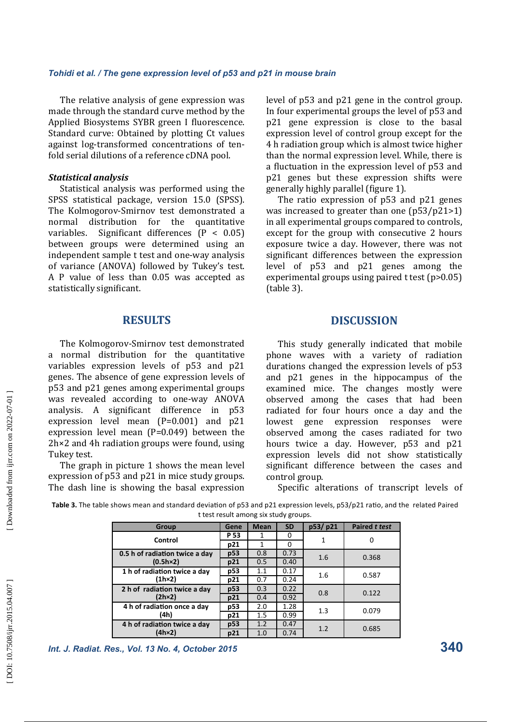The relative analysis of gene expression was made through the standard curve method by the Applied Biosystems SYBR green I fluorescence. Standard curve: Obtained by plotting Ct values against log-transformed concentrations of tenfold serial dilutions of a reference cDNA pool.

#### *Statistical analysis*

Statistical analysis was performed using the SPSS statistical package, version 15.0 (SPSS). The Kolmogorov-Smirnov test demonstrated a normal distribution for the quantitative variables. Significant differences  $(P < 0.05)$ between groups were determined using an independent sample t test and one-way analysis of variance (ANOVA) followed by Tukey's test. A P value of less than 0.05 was accepted as statistically significant.

## **RESULTS**

The Kolmogorov-Smirnov test demonstrated a normal distribution for the quantitative variables expression levels of p53 and p21 genes. The absence of gene expression levels of p53 and p21 genes among experimental groups was revealed according to one-way ANOVA analysis. A significant difference in  $p53$ expression level mean  $(P=0.001)$  and  $p21$ expression level mean  $(P=0.049)$  between the  $2h \times 2$  and 4h radiation groups were found, using Tukey test.

The graph in picture 1 shows the mean level expression of p53 and p21 in mice study groups. The dash line is showing the basal expression level of p53 and p21 gene in the control group. In four experimental groups the level of p53 and p21 gene expression is close to the basal expression level of control group except for the 4 h radiation group which is almost twice higher than the normal expression level. While, there is a fluctuation in the expression level of p53 and p21 genes but these expression shifts were generally highly parallel (figure 1).

The ratio expression of  $p53$  and  $p21$  genes was increased to greater than one  $(p53/p21>1)$ in all experimental groups compared to controls, except for the group with consecutive 2 hours exposure twice a day. However, there was not significant differences between the expression level of p53 and p21 genes among the experimental groups using paired  $t$  test (p>0.05)  $(table 3)$ .

### **DISCUSSION**

This study generally indicated that mobile phone waves with a variety of radiation durations changed the expression levels of p53 and p21 genes in the hippocampus of the examined mice. The changes mostly were observed among the cases that had been radiated for four hours once a day and the lowest gene expression responses were observed among the cases radiated for two hours twice a day. However, p53 and p21 expression levels did not show statistically significant difference between the cases and control group.

Specific alterations of transcript levels of

Table 3. The table shows mean and standard deviation of p53 and p21 expression levels, p53/p21 ratio, and the related Paired t test result among six study groups.

| Group                                               | Gene | <b>Mean</b> | <b>SD</b> | p53/p21 | <b>Paired t test</b> |
|-----------------------------------------------------|------|-------------|-----------|---------|----------------------|
| Control                                             | P 53 |             | 0         |         | O                    |
|                                                     | p21  |             | 0         |         |                      |
| 0.5 h of radiation twice a day<br>$(0.5h \times 2)$ | p53  | 0.8         | 0.73      | 1.6     | 0.368                |
|                                                     | p21  | 0.5         | 0.40      |         |                      |
| 1 h of radiation twice a day<br>(1h×2)              | p53  | 1.1         | 0.17      | 1.6     | 0.587                |
|                                                     | p21  | 0.7         | 0.24      |         |                      |
| 2 h of radiation twice a day<br>$(2h \times 2)$     | p53  | 0.3         | 0.22      | 0.8     | 0.122                |
|                                                     | p21  | 0.4         | 0.92      |         |                      |
| 4 h of radiation once a day<br>(4h)                 | p53  | 2.0         | 1.28      | 1.3     | 0.079                |
|                                                     | p21  | 1.5         | 0.99      |         |                      |
| 4 h of radiation twice a day<br>$(4h \times 2)$     | p53  | 1.2         | 0.47      | 1.2     | 0.685                |
|                                                     | p21  | 1.0         | 0.74      |         |                      |

*Int. J. Radiat. Res., Vol. 13 No. 4, October 2015* **340**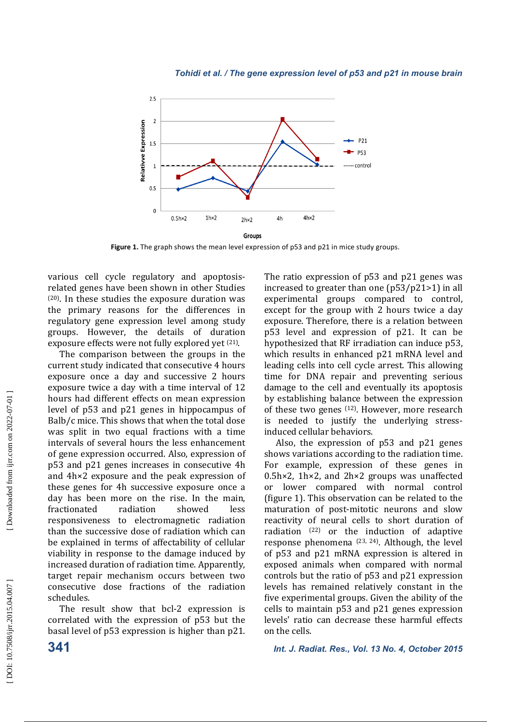

**Figure 1.** The graph shows the mean level expression of p53 and p21 in mice study groups.

various cell cycle regulatory and apoptosisrelated genes have been shown in other Studies  $(20)$ . In these studies the exposure duration was the primary reasons for the differences in regulatory gene expression level among study groups. However, the details of duration exposure effects were not fully explored yet <sup>(21)</sup>.

The comparison between the groups in the current study indicated that consecutive 4 hours exposure once a day and successive 2 hours exposure twice a day with a time interval of 12 hours had different effects on mean expression level of p53 and p21 genes in hippocampus of Balb/c mice. This shows that when the total dose was split in two equal fractions with a time intervals of several hours the less enhancement of gene expression occurred. Also, expression of p53 and p21 genes increases in consecutive 4h and  $4h \times 2$  exposure and the peak expression of these genes for 4h successive exposure once a day has been more on the rise. In the main, fractionated radiation showed less responsiveness to electromagnetic radiation than the successive dose of radiation which can be explained in terms of affectability of cellular viability in response to the damage induced by increased duration of radiation time. Apparently, target repair mechanism occurs between two consecutive dose fractions of the radiation schedules. 

The result show that bcl-2 expression is correlated with the expression of p53 but the basal level of p53 expression is higher than p21. The ratio expression of  $p53$  and  $p21$  genes was increased to greater than one  $(p53/p21>1)$  in all experimental groups compared to control, except for the group with  $2$  hours twice a day exposure. Therefore, there is a relation between p53 level and expression of p21. It can be hypothesized that RF irradiation can induce p53, which results in enhanced p21 mRNA level and leading cells into cell cycle arrest. This allowing time for DNA repair and preventing serious damage to the cell and eventually its apoptosis by establishing balance between the expression of these two genes  $(12)$ . However, more research is needed to justify the underlying stressinduced cellular behaviors.

Also, the expression of  $p53$  and  $p21$  genes shows variations according to the radiation time. For example, expression of these genes in  $0.5h \times 2$ . 1h×2, and  $2h \times 2$  groups was unaffected or lower compared with normal control (figure 1). This observation can be related to the maturation of post-mitotic neurons and slow reactivity of neural cells to short duration of radiation  $(22)$  or the induction of adaptive response phenomena  $(23, 24)$ . Although, the level of p53 and p21 mRNA expression is altered in exposed animals when compared with normal controls but the ratio of p53 and p21 expression levels has remained relatively constant in the five experimental groups. Given the ability of the cells to maintain  $p53$  and  $p21$  genes expression levels' ratio can decrease these harmful effects on the cells.

**341** *Int. J. Radiat. Res., Vol. 13 No. 4, October 2015*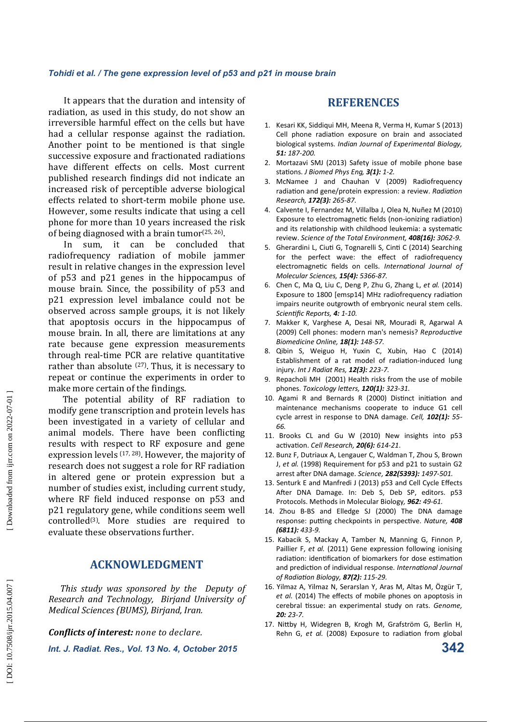It appears that the duration and intensity of radiation, as used in this study, do not show an irreversible harmful effect on the cells but have had a cellular response against the radiation. Another point to be mentioned is that single successive exposure and fractionated radiations have different effects on cells. Most current published research findings did not indicate an increased risk of perceptible adverse biological effects related to short-term mobile phone use. However, some results indicate that using a cell phone for more than 10 years increased the risk of being diagnosed with a brain tumor<sup>(25, 26)</sup>.

In sum, it can be concluded that radiofrequency radiation of mobile jammer result in relative changes in the expression level of p53 and p21 genes in the hippocampus of mouse brain. Since, the possibility of p53 and p21 expression level imbalance could not be observed across sample groups, it is not likely that apoptosis occurs in the hippocampus of mouse brain. In all, there are limitations at any rate because gene expression measurements through real-time PCR are relative quantitative rather than absolute  $(27)$ . Thus, it is necessary to repeat or continue the experiments in order to make more certain of the findings.

The potential ability of RF radiation to modify gene transcription and protein levels has been investigated in a variety of cellular and animal models. There have been conflicting results with respect to RF exposure and gene expression levels  $(17, 28)$ . However, the majority of research does not suggest a role for RF radiation in altered gene or protein expression but a number of studies exist, including current study, where RF field induced response on p53 and p21 regulatory gene, while conditions seem well controlled(3). More studies are required to evaluate these observations further.

## **ACKNOWLEDGMENT**

This study was sponsored by the Deputy of *Research and Technology, Birjand University of Medical Sciences (BUMS), Birjand, Iran.* 

*Conflicts of interest: none to declare.* 

*Int. J. Radiat. Res., Vol. 13 No. 4, October 2015* **342**

## **REFERENCES**

- 1. Kesari KK, Siddiqui MH, Meena R, Verma H, Kumar S (2013) Cell phone radiation exposure on brain and associated biological systems. *Indian Journal of Experimental Biology, 51: 187-200.*
- 2. Mortazavi SMJ (2013) Safety issue of mobile phone base stations. *J Biomed Phys Eng*, 3(1): 1-2.
- 3. McNamee J and Chauhan V (2009) Radiofrequency radiation and gene/protein expression: a review. *Radiation Research, 172(3): 265-87.*
- 4. Calvente I, Fernandez M, Villalba J, Olea N, Nuñez M (2010) Exposure to electromagnetic fields (non-ionizing radiation) and its relationship with childhood leukemia: a systematic review. *Science of the Total Environment, 408(16): 3062-9.*
- 5. Gherardini L, Ciuti G, Tognarelli S, Cinti C (2014) Searching for the perfect wave: the effect of radiofrequency electromagnetic fields on cells. International Journal of *Molecular Sciences, 15(4): 5366-87.*
- 6. Chen C, Ma Q, Liu C, Deng P, Zhu G, Zhang L, *et al.* (2014) Exposure to 1800 [emsp14] MHz radiofrequency radiation impairs neurite outgrowth of embryonic neural stem cells. *Scien"fic Reports, 4: 1-10.*
- 7. Makker K, Varghese A, Desai NR, Mouradi R, Agarwal A (2009) Cell phones: modern man's nemesis? Reproductive *Biomedicine Online, 18(1): 148-57.*
- 8. Qibin S, Weiguo H, Yuxin C, Xubin, Hao C (2014) Establishment of a rat model of radiation-induced lung injury. *Int J Radiat Res, 12(3): 223-7.*
- 9. Repacholi MH (2001) Health risks from the use of mobile phones. *Toxicology le/ers, 120(1): 323-31.*
- 10. Agami R and Bernards R (2000) Distinct initiation and maintenance mechanisms cooperate to induce G1 cell cycle arrest in response to DNA damage. *Cell, 102(1): 55- 66.*
- 11. Brooks CL and Gu W (2010) New insights into p53 *activation. Cell Research, 20(6): 614-21.*
- 12. Bunz F, Dutriaux A, Lengauer C, Waldman T, Zhou S, Brown J, *et al.* (1998) Requirement for p53 and p21 to sustain G2 arrest a;er DNA damage. *Science, 282(5393): 1497-501.*
- 13. Senturk E and Manfredi J (2013) p53 and Cell Cycle Effects After DNA Damage. In: Deb S, Deb SP, editors. p53 Protocols. Methods in Molecular Biology*, 962: 49-61.*
- 14. Zhou B-BS and Elledge SJ (2000) The DNA damage response: putting checkpoints in perspective. Nature, 408 *(6811): 433-9.*
- 15. Kabacik S, Mackay A, Tamber N, Manning G, Finnon P, Paillier F, *et al.* (2011) Gene expression following ionising radiation: identification of biomarkers for dose estimation and prediction of individual response. *International Journal of Radia"on Biology, 87(2): 115-29.*
- 16. Yilmaz A, Yilmaz N, Serarslan Y, Aras M, Altas M, Özgür T, *et al.* (2014) The effects of mobile phones on apoptosis in cerebral tissue: an experimental study on rats. Genome, *20: 23-7.*
- 17. Nittby H, Widegren B, Krogh M, Grafström G, Berlin H, Rehn G, et al. (2008) Exposure to radiation from global

Downloaded from ijrr.com on 2022-07-01]